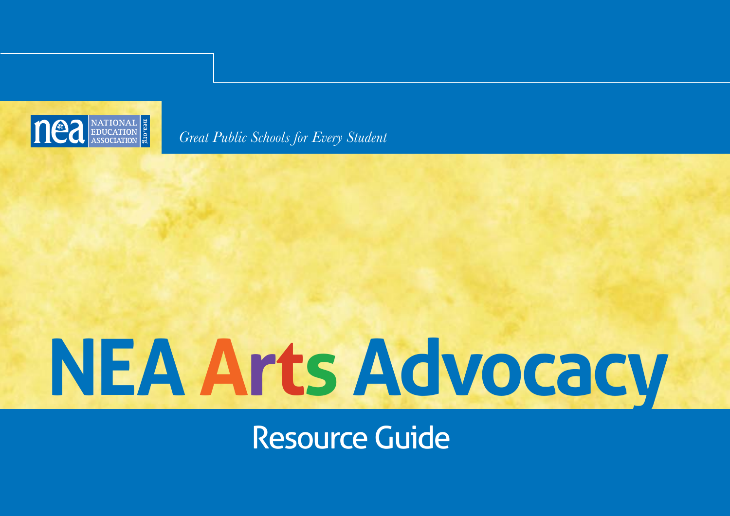

*Great Public Schools for Every Student*

# **NEA Arts Advocacy**

Resource Guide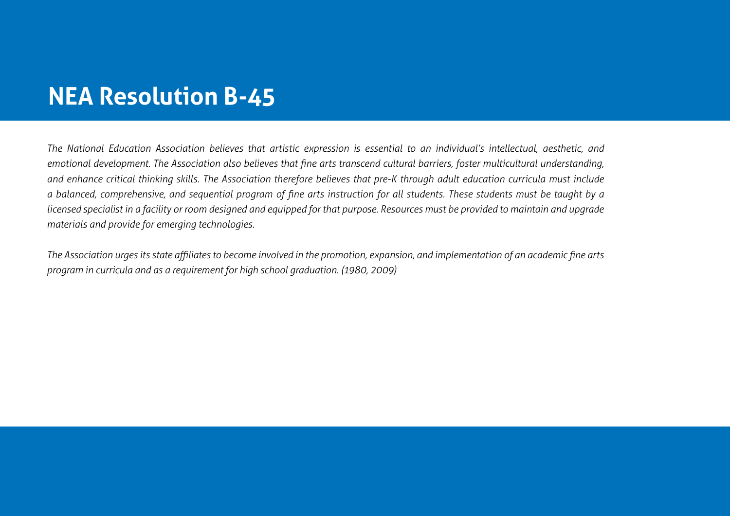# **NEA Resolution B-45**

*The National Education Association believes that artistic expression is essential to an individual's intellectual, aesthetic, and emotional development. The Association also believes that fine arts transcend cultural barriers, foster multicultural understanding, and enhance critical thinking skills. The Association therefore believes that pre-K through adult education curricula must include a balanced, comprehensive, and sequential program of fine arts instruction for all students. These students must be taught by a licensed specialist in a facility or room designed and equipped for that purpose. Resources must be provided to maintain and upgrade materials and provide for emerging technologies.* 

*The Association urges its state affiliates to become involved in the promotion, expansion, and implementation of an academic fine arts program in curricula and as a requirement for high school graduation. (1980, 2009)*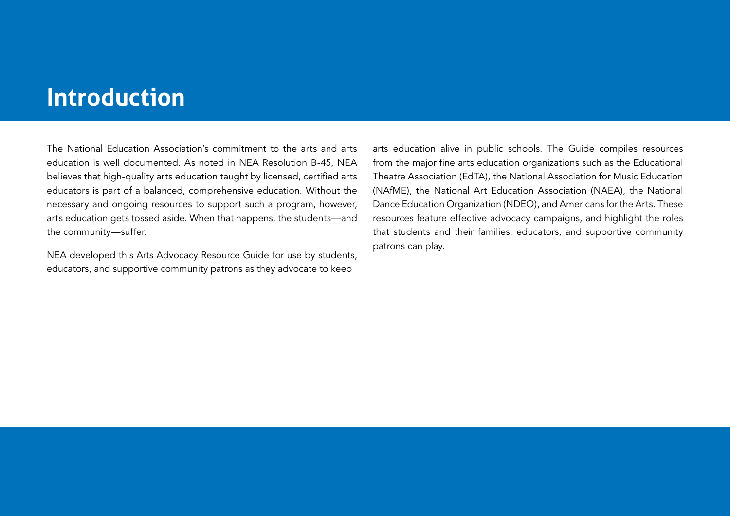# **Introduction**

The National Education Association's commitment to the arts and arts education is well documented. As noted in NEA Resolution B-45, NEA believes that high-quality arts education taught by licensed, certified arts educators is part of a balanced, comprehensive education. Without the necessary and ongoing resources to support such a program, however, arts education gets tossed aside. When that happens, the students—and the community—suffer.

NEA developed this Arts Advocacy Resource Guide for use by students, educators, and supportive community patrons as they advocate to keep

arts education alive in public schools. The Guide compiles resources from the major fine arts education organizations such as the Educational Theatre Association (EdTA), the National Association for Music Education (NAfME), the National Art Education Association (NAEA), the National Dance Education Organization (NDEO), and Americans for the Arts. These resources feature effective advocacy campaigns, and highlight the roles that students and their families, educators, and supportive community patrons can play.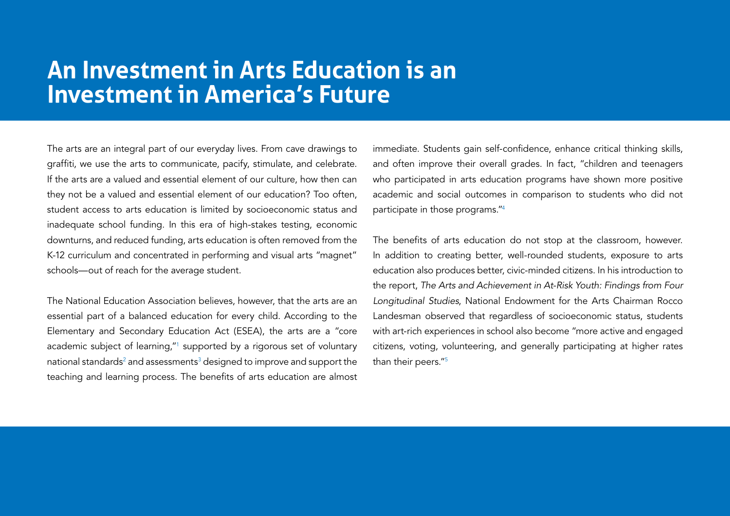# **An Investment in Arts Education is an Investment in America's Future**

The arts are an integral part of our everyday lives. From cave drawings to graffiti, we use the arts to communicate, pacify, stimulate, and celebrate. If the arts are a valued and essential element of our culture, how then can they not be a valued and essential element of our education? Too often, student access to arts education is limited by socioeconomic status and inadequate school funding. In this era of high-stakes testing, economic downturns, and reduced funding, arts education is often removed from the K-12 curriculum and concentrated in performing and visual arts "magnet" schools—out of reach for the average student.

The National Education Association believes, however, that the arts are an essential part of a balanced education for every child. According to the Elementary and Secondary Education Act (ESEA), the arts are a "core academic subject of learning,"1 supported by a rigorous set of voluntary national standards $^{\scriptscriptstyle 2}$  and assessments $^{\scriptscriptstyle 3}$  designed to improve and support the  $\,$ teaching and learning process. The benefits of arts education are almost immediate. Students gain self-confidence, enhance critical thinking skills, and often improve their overall grades. In fact, "children and teenagers who participated in arts education programs have shown more positive academic and social outcomes in comparison to students who did not participate in those programs."4

The benefits of arts education do not stop at the classroom, however. In addition to creating better, well-rounded students, exposure to arts education also produces better, civic-minded citizens. In his introduction to the report, *The Arts and Achievement in At-Risk Youth: Findings from Four Longitudinal Studies*, National Endowment for the Arts Chairman Rocco Landesman observed that regardless of socioeconomic status, students with art-rich experiences in school also become "more active and engaged citizens, voting, volunteering, and generally participating at higher rates than their peers."5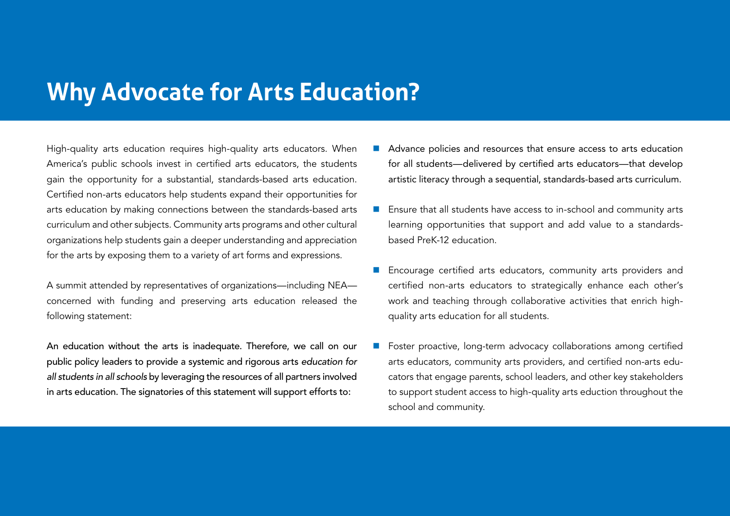# **Why Advocate for Arts Education?**

High-quality arts education requires high-quality arts educators. When America's public schools invest in certified arts educators, the students gain the opportunity for a substantial, standards-based arts education. Certified non-arts educators help students expand their opportunities for arts education by making connections between the standards-based arts curriculum and other subjects. Community arts programs and other cultural organizations help students gain a deeper understanding and appreciation for the arts by exposing them to a variety of art forms and expressions.

A summit attended by representatives of organizations—including NEA concerned with funding and preserving arts education released the following statement:

An education without the arts is inadequate. Therefore, we call on our public policy leaders to provide a systemic and rigorous arts *education for all students in all schools* by leveraging the resources of all partners involved in arts education. The signatories of this statement will support efforts to:

- Advance policies and resources that ensure access to arts education for all students—delivered by certified arts educators—that develop artistic literacy through a sequential, standards-based arts curriculum.
- Ensure that all students have access to in-school and community arts learning opportunities that support and add value to a standardsbased PreK-12 education.
- Encourage certified arts educators, community arts providers and certified non-arts educators to strategically enhance each other's work and teaching through collaborative activities that enrich highquality arts education for all students.
- Foster proactive, long-term advocacy collaborations among certified arts educators, community arts providers, and certified non-arts educators that engage parents, school leaders, and other key stakeholders to support student access to high-quality arts eduction throughout the school and community.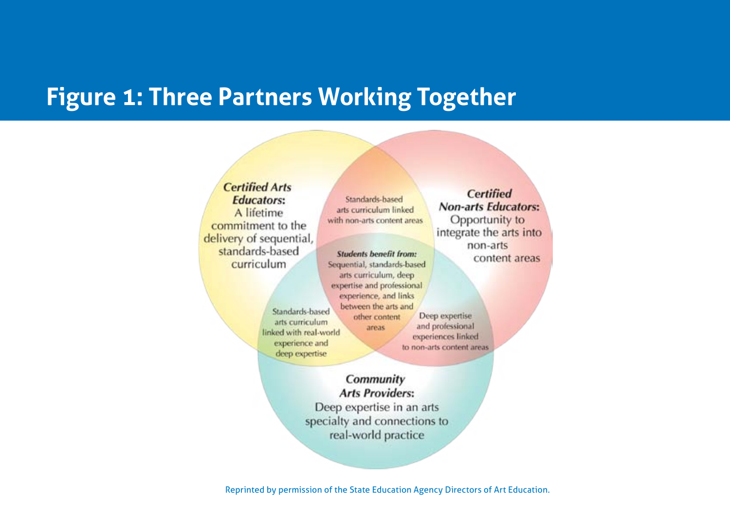# **Figure 1: Three Partners Working Together**

**Certified Arts Certified Educators:** Standards-based arts curriculum linked A lifetime with non-arts content areas commitment to the delivery of sequential, standards-based **Students benefit from:** curriculum Sequential, standards-based arts curriculum, deep expertise and professional experience, and links between the arts and Standards-based Deep expertise other content arts curriculum and professional areas linked with real-world experiences linked experience and to non-arts content areas deep expertise Community **Arts Providers:** Deep expertise in an arts specialty and connections to real-world practice

**Non-arts Educators:** Opportunity to integrate the arts into non-arts content areas

Reprinted by permission of the State Education Agency Directors of Art Education.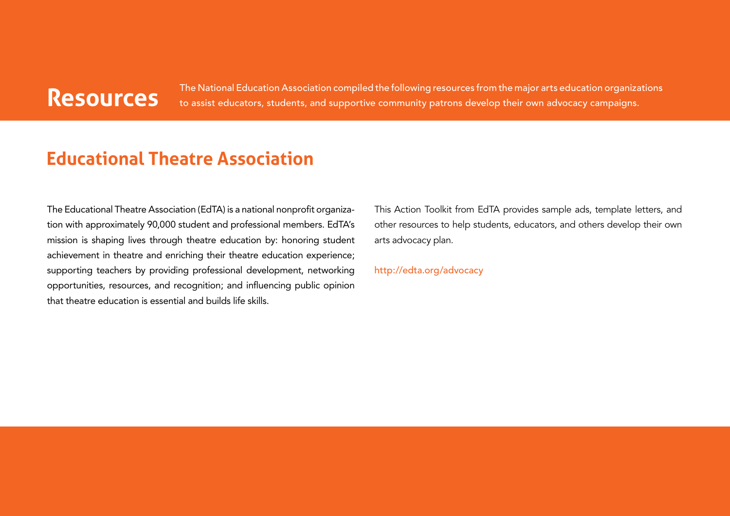The National Education Association compiled the following resources from the major arts education organizations<br>Resources to assist educators, students, and supportive community patrons develop their own advocacy campaigns

## **Educational Theatre Association**

The Educational Theatre Association (EdTA) is a national nonprofit organization with approximately 90,000 student and professional members. EdTA's mission is shaping lives through theatre education by: honoring student achievement in theatre and enriching their theatre education experience; supporting teachers by providing professional development, networking opportunities, resources, and recognition; and influencing public opinion that theatre education is essential and builds life skills.

This Action Toolkit from EdTA provides sample ads, template letters, and other resources to help students, educators, and others develop their own arts advocacy plan.

[http://edta.org/advocacy](http://edta.org/advocacy )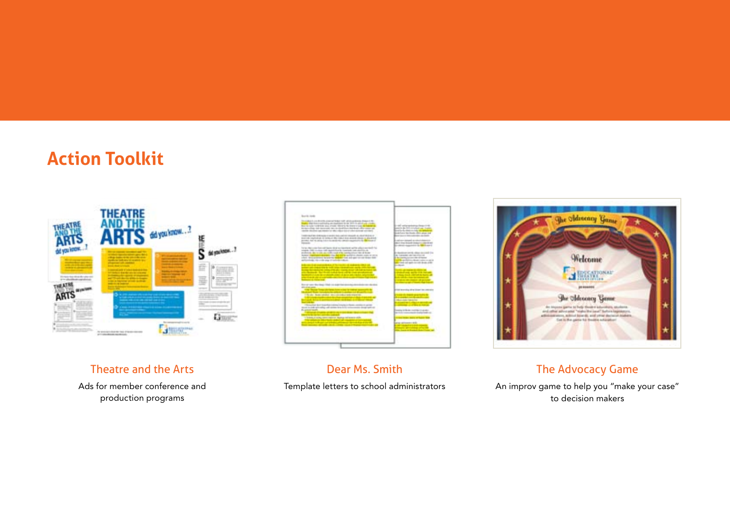# **Action Toolkit**



#### Theatre and the Arts

Ads for member conference and production programs



Dear Ms. Smith Template letters to school administrators



#### The Advocacy Game

An improv game to help you "make your case" to decision makers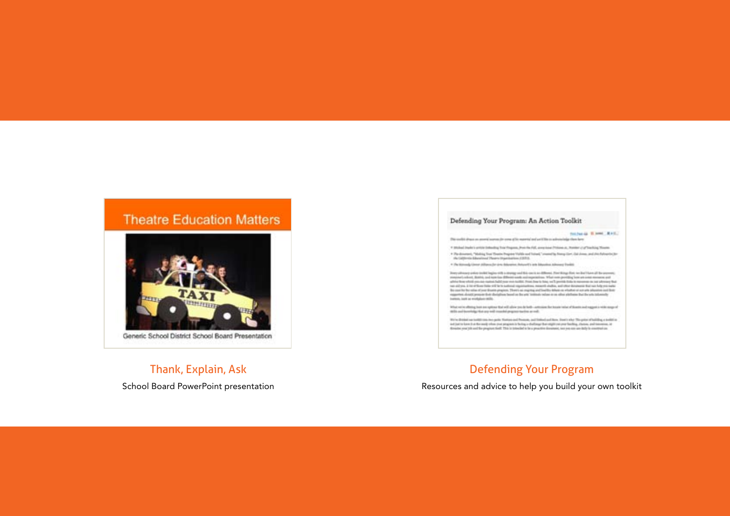#### **Theatre Education Matters**



#### Thank, Explain, Ask

School Board PowerPoint presentation

#### Defending Your Program: An Action Toolkit

#### technical Elemni RAS.

Printed in these as assert surroute area of to marrial and artifice to advancing the stars.

1 Michael Drawke to an United States Back Progress, Provides PLA, acceptance (198444-24, 700000-214750-334), Thienton

\* The determined "Moding Trust Deadler Progress "Vallab and Taiwed," created by filtery Cort, Call Jimmy, and Jim Fahrantin (30)<br>An California Educational Theory (Importantines CEO) a

. • Perkensely (ever African Dr driv Bilaneter, Peters E) arts Maustra African Costa

linery almosty ander technic hegies with a reverge and this case is as different. Premitings from test of the other all the secretary measures of the second contained and the second component of the second component of the Bo can be be site of your Boath paginm. There as many and beetly Minis or eligible or an allo plasmes and buy<br>magnetes about proper that disturbes benefits the eta testinal: when it is often platform but the era tobenedy betters, just as workshee rights.

What we're often a best as spinor that will also purch both commisse for tracer rates of downs and regges in with stops of<br>Although both any will counterly represented and in

Write district on testimons has parts. Nation and Primare, and Statistical Jack Star, Start only The principles of building a politicial ad juicto kee it a file andy show you anyway to being a shallong the raphs on your holling. Joines, and interesse, or<br>Breater your job and the program bell. This is interded to be a presidint downtool, see you can sail but

#### Defending Your Program

Resources and advice to help you build your own toolkit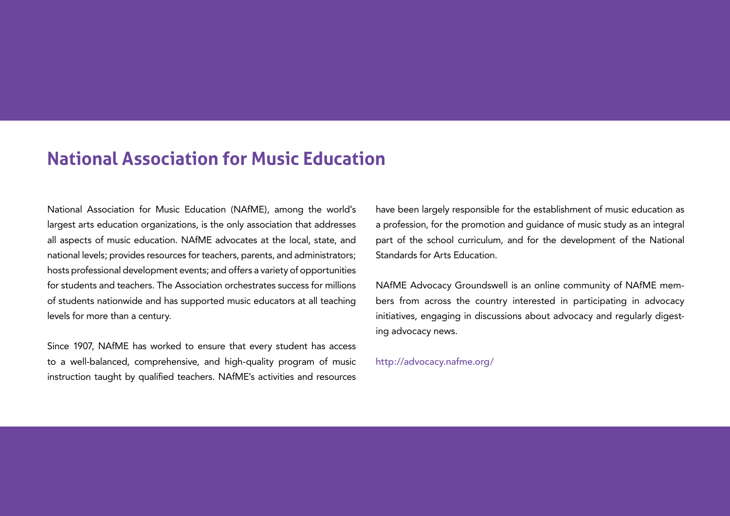## **National Association for Music Education**

National Association for Music Education (NAfME), among the world's largest arts education organizations, is the only association that addresses all aspects of music education. NAfME advocates at the local, state, and national levels; provides resources for teachers, parents, and administrators; hosts professional development events; and offers a variety of opportunities for students and teachers. The Association orchestrates success for millions of students nationwide and has supported music educators at all teaching levels for more than a century.

Since 1907, NAfME has worked to ensure that every student has access to a well-balanced, comprehensive, and high-quality program of music instruction taught by qualified teachers. NAfME's activities and resources have been largely responsible for the establishment of music education as a profession, for the promotion and guidance of music study as an integral part of the school curriculum, and for the development of the National Standards for Arts Education.

NAfME Advocacy Groundswell is an online community of NAfME members from across the country interested in participating in advocacy initiatives, engaging in discussions about advocacy and reqularly digesting advocacy news.

<http://advocacy.nafme.org>/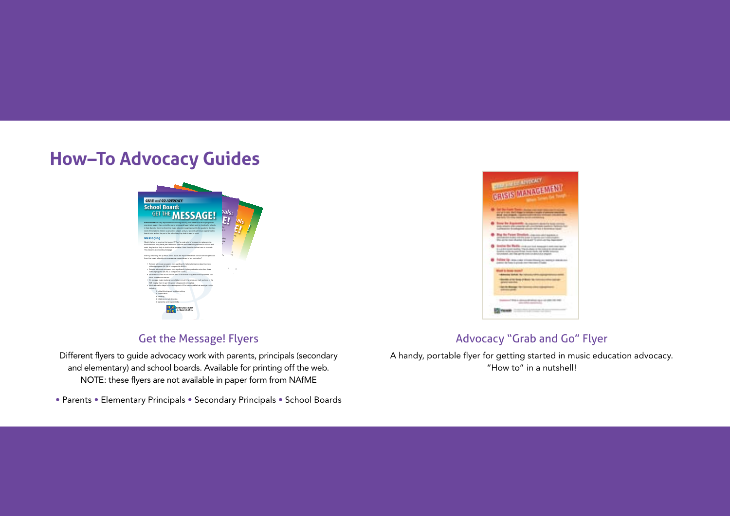## **How–To Advocacy Guides**



#### Get the Message! Flyers

Different flyers to guide advocacy work with parents, principals (secondary and elementary) and school boards. Available for printing off the web. NOTE: these flyers are not available in paper form from NAfME

• Parents • Elementary Principals • Secondary Principals • School Boards



#### Advocacy "Grab and Go" Flyer

A handy, portable flyer for getting started in music education advocacy. "How to" in a nutshell!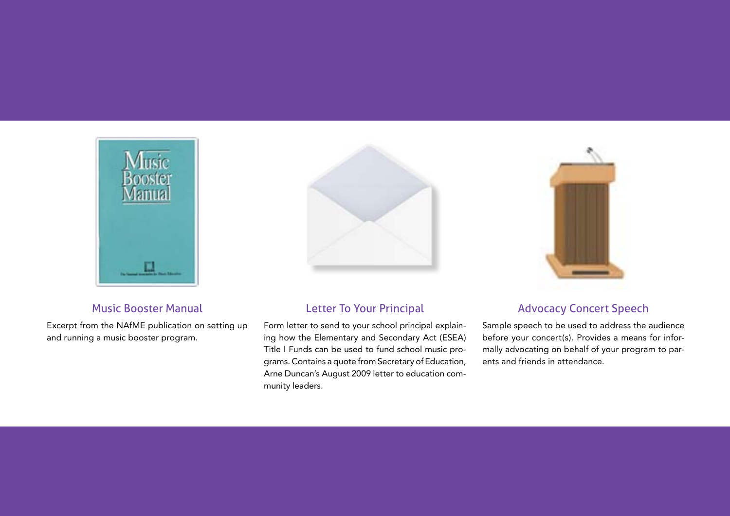

#### Music Booster Manual

Excerpt from the NAfME publication on setting up and running a music booster program.



#### Letter To Your Principal

Form letter to send to your school principal explaining how the Elementary and Secondary Act (ESEA) Title I Funds can be used to fund school music programs. Contains a quote from Secretary of Education, Arne Duncan's August 2009 letter to education community leaders.



#### Advocacy Concert Speech

Sample speech to be used to address the audience before your concert(s). Provides a means for informally advocating on behalf of your program to parents and friends in attendance.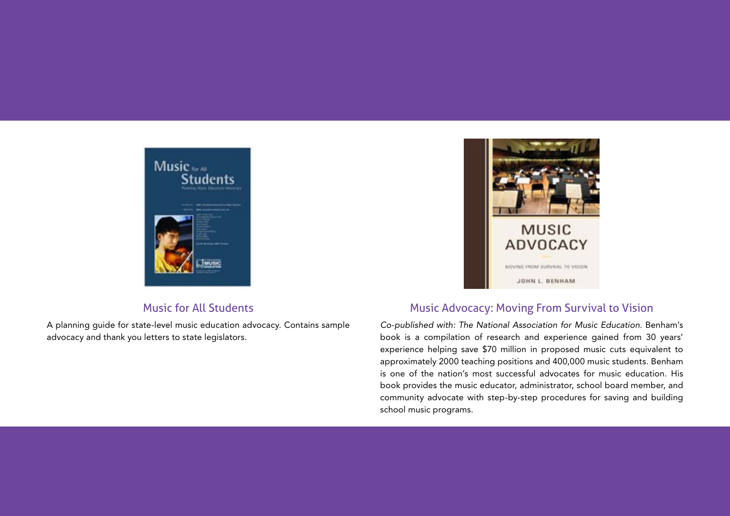

#### Music for All Students

A planning guide for state-level music education advocacy. Contains sample advocacy and thank you letters to state legislators.



#### Music Advocacy: Moving From Survival to Vision

*Co-published with: The National Association for Music Education*. Benham's book is a compilation of research and experience gained from 30 years' experience helping save \$70 million in proposed music cuts equivalent to approximately 2000 teaching positions and 400,000 music students. Benham is one of the nation's most successful advocates for music education. His book provides the music educator, administrator, school board member, and community advocate with step-by-step procedures for saving and building school music programs.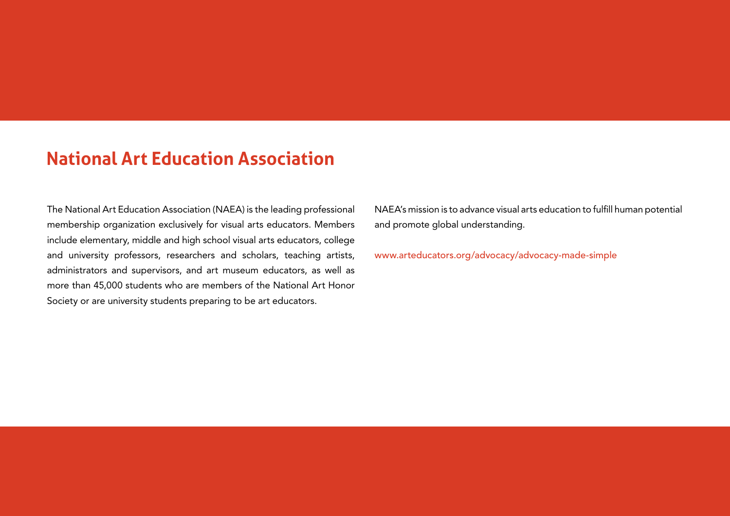# **National Art Education Association**

The National Art Education Association (NAEA) is the leading professional membership organization exclusively for visual arts educators. Members include elementary, middle and high school visual arts educators, college and university professors, researchers and scholars, teaching artists, administrators and supervisors, and art museum educators, as well as more than 45,000 students who are members of the National Art Honor Society or are university students preparing to be art educators.

NAEA's mission is to advance visual arts education to fulfill human potential and promote global understanding.

[www.arteducators.org/advocacy/advocacy](http://www.arteducators.org/advocacy/advocacy)-made-simple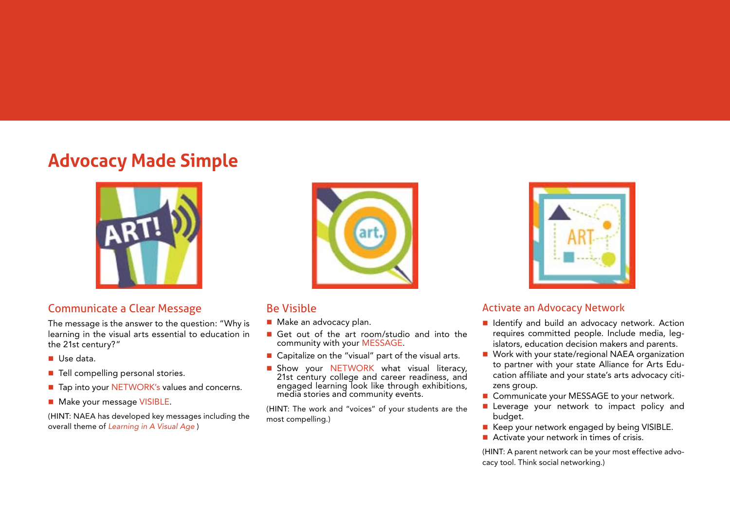# **Advocacy Made Simple**



#### Communicate a Clear Message

The message is the answer to the question: "Why is learning in the visual arts essential to education in the 21st century?"

- Use data.
- Tell compelling personal stories.
- Tap into your NETWORK's values and concerns.
- Make your message VISIBLE.

(HINT: NAEA has developed key messages including the overall theme of *Learning in A Visual Age* )



#### Be Visible

- Make an advocacy plan.
- Get out of the art room/studio and into the community with your MESSAGE.
- Capitalize on the "visual" part of the visual arts.
- **Show your NETWORK what visual literacy,** 21st century college and career readiness, and engaged learning look like through exhibitions, media stories and community events.

(HINT: The work and "voices" of your students are the most compelling.)



#### Activate an Advocacy Network

- I Identify and build an advocacy network. Action requires committed people. Include media, legislators, education decision makers and parents.
- Work with your state/regional NAEA organization to partner with your state Alliance for Arts Education affiliate and your state's arts advocacy citizens group.
- Communicate your MESSAGE to your network.
- Leverage your network to impact policy and budget.
- Keep your network engaged by being VISIBLE.
- Activate your network in times of crisis.

(HINT: A parent network can be your most effective advocacy tool. Think social networking.)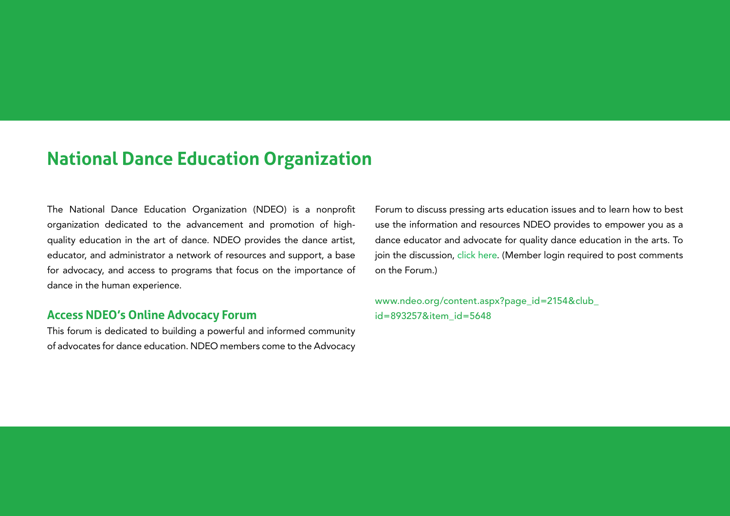## **National Dance Education Organization**

The National Dance Education Organization (NDEO) is a nonprofit organization dedicated to the advancement and promotion of highquality education in the art of dance. NDEO provides the dance artist, educator, and administrator a network of resources and support, a base for advocacy, and access to programs that focus on the importance of dance in the human experience.

#### **Access NDEO's Online Advocacy Forum**

This forum is dedicated to building a powerful and informed community of advocates for dance education. NDEO members come to the Advocacy

Forum to discuss pressing arts education issues and to learn how to best use the information and resources NDEO provides to empower you as a dance educator and advocate for quality dance education in the arts. To join the discussion, [click here.](http://www.ndeo.org/content.aspx?page_id=2154&club_id=893257&item_id=5648) (Member login required to post comments on the Forum.)

[www.ndeo.org/content.aspx?page\\_id=2154&club\\_](http://www.ndeo.org/content.aspx?page_id=2154&club_id=893257&item_id=5648) [id=893257&item\\_id=5648](http://www.ndeo.org/content.aspx?page_id=2154&club_id=893257&item_id=5648)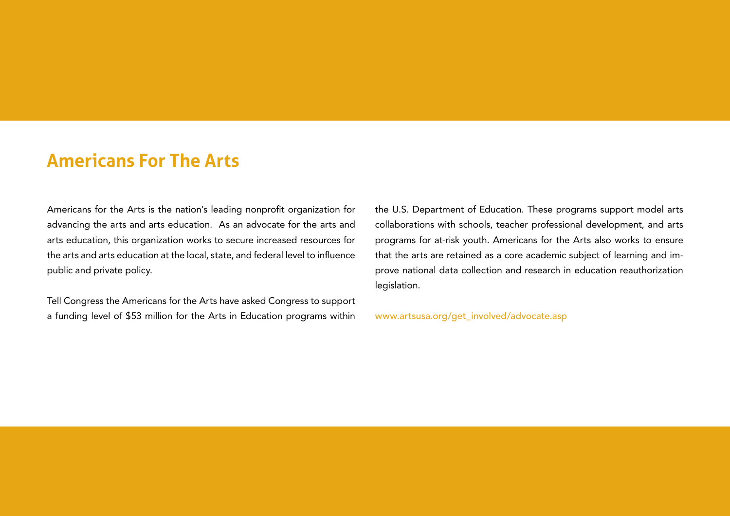### **Americans For The Arts**

Americans for the Arts is the nation's leading nonprofit organization for advancing the arts and arts education. As an advocate for the arts and arts education, this organization works to secure increased resources for the arts and arts education at the local, state, and federal level to influence public and private policy.

Tell Congress the Americans for the Arts have asked Congress to support a funding level of \$53 million for the Arts in Education programs within

the U.S. Department of Education. These programs support model arts collaborations with schools, teacher professional development, and arts programs for at-risk youth. Americans for the Arts also works to ensure that the arts are retained as a core academic subject of learning and improve national data collection and research in education reauthorization legislation.

[www.artsusa.org/get\\_involved/advocate.asp](www.artsusa.org/get_involved/advocate.asp)